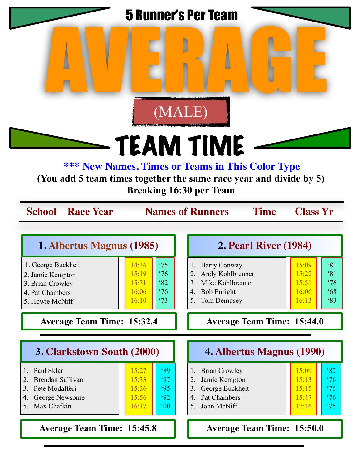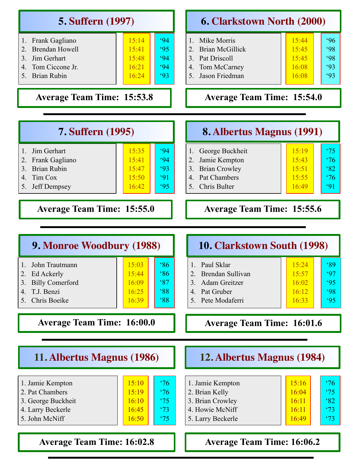| <b>5. Suffern</b> (1997)                                                                                                                                                |                                                                                                         |                                                                                                                                                           | <b>6. Clarkstown North (2000)</b>                                                                                |  |  |  |
|-------------------------------------------------------------------------------------------------------------------------------------------------------------------------|---------------------------------------------------------------------------------------------------------|-----------------------------------------------------------------------------------------------------------------------------------------------------------|------------------------------------------------------------------------------------------------------------------|--|--|--|
| Frank Gagliano<br>1.<br><b>Brendan Howell</b><br>$\overline{2}$ .<br>$\overline{3}$ .<br>Jim Gerhart<br>Tom Ciccone Jr.<br>$\overline{4}$ .<br>5.<br><b>Brian Rubin</b> | 15:14<br>94<br>95<br>15:41<br>15:48<br>94<br>16:21<br>94<br>16:24<br>93                                 | Mike Morris<br>1.<br><b>Brian McGillick</b><br>2.<br>3 <sub>1</sub><br>Pat Driscoll<br>Tom McCarney<br>4.<br>Jason Friedman<br>5 <sub>1</sub>             | 15:44<br>96<br>98<br>15:45<br>98<br>15:45<br>93<br>16:08<br>93<br>16:08                                          |  |  |  |
| <b>Average Team Time: 15:53.8</b>                                                                                                                                       |                                                                                                         | <b>Average Team Time: 15:54.0</b>                                                                                                                         |                                                                                                                  |  |  |  |
| <b>7. Suffern (1995)</b>                                                                                                                                                |                                                                                                         | <b>8. Albertus Magnus (1991)</b>                                                                                                                          |                                                                                                                  |  |  |  |
| Jim Gerhart<br>$\mathbf{1}$<br>$\overline{2}$<br>Frank Gagliano<br><b>Brian Rubin</b><br>3.<br>Tim Cox<br>$\overline{4}$ .<br>5.<br>Jeff Dempsey                        | 15:35<br>94<br>15:41<br>94<br>93<br>15:47<br>91<br>15:50<br>95<br>16:42                                 | George Buckheit<br>1.<br>Jamie Kempton<br>$\overline{2}$ .<br><b>Brian Crowley</b><br>3.<br><b>Pat Chambers</b><br>$\overline{4}$ .<br>Chris Bulter<br>5. | $^{\circ}75$<br>15:19<br>$\frac{1}{2}$<br>15:43<br>82<br>15:51<br>$\frac{1}{2}$<br>15:55<br>91<br>16:49          |  |  |  |
| <b>Average Team Time: 15:55.0</b><br><b>Average Team Time: 15:55.6</b>                                                                                                  |                                                                                                         |                                                                                                                                                           |                                                                                                                  |  |  |  |
| 9. Monroe Woodbury (1988)                                                                                                                                               |                                                                                                         | 10. Clarkstown South (1998)                                                                                                                               |                                                                                                                  |  |  |  |
| John Trautmann<br>2.<br>Ed Ackerly<br>3.<br><b>Billy Comerford</b><br>T.J. Benzi<br>4.<br>Chris Boeike<br>5.                                                            | 86<br>15:03<br>86<br>15:44<br>87<br>16:09<br>$88^\circ$<br>16:25<br>88<br>16:39                         | Paul Sklar<br>1.<br>2.<br>Brendan Sullivan<br>Adam Greitzer<br>3 <sub>1</sub><br>Pat Gruber<br>4.<br>5. Pete Modaferri                                    | 89<br>15:24<br>15:57<br>97<br>95<br>16:02<br>16:12<br>98<br>16:33<br>95                                          |  |  |  |
| <b>Average Team Time: 16:00.0</b>                                                                                                                                       |                                                                                                         | <b>Average Team Time: 16:01.6</b>                                                                                                                         |                                                                                                                  |  |  |  |
| 11. Albertus Magnus (1986)                                                                                                                                              |                                                                                                         | 12. Albertus Magnus (1984)                                                                                                                                |                                                                                                                  |  |  |  |
| 1. Jamie Kempton<br>2. Pat Chambers<br>3. George Buckheit<br>4. Larry Beckerle<br>5. John McNiff                                                                        | 15:10<br>$^{\circ}76$<br>15:19<br>$^{\circ}76$<br>16:10<br>$^{\circ}75$<br>16:45<br>'73<br>'75<br>16:50 | 1. Jamie Kempton<br>2. Brian Kelly<br>3. Brian Crowley<br>4. Howie McNiff<br>5. Larry Beckerle                                                            | 15:16<br>$\frac{1}{6}$<br>$^{\circ}75$<br>16:04<br>82<br>16:11<br>$^{\circ}73$<br>16:11<br>$^{\circ}73$<br>16:49 |  |  |  |
| <b>Average Team Time: 16:02.8</b>                                                                                                                                       |                                                                                                         | <b>Average Team Time: 16:06.2</b>                                                                                                                         |                                                                                                                  |  |  |  |